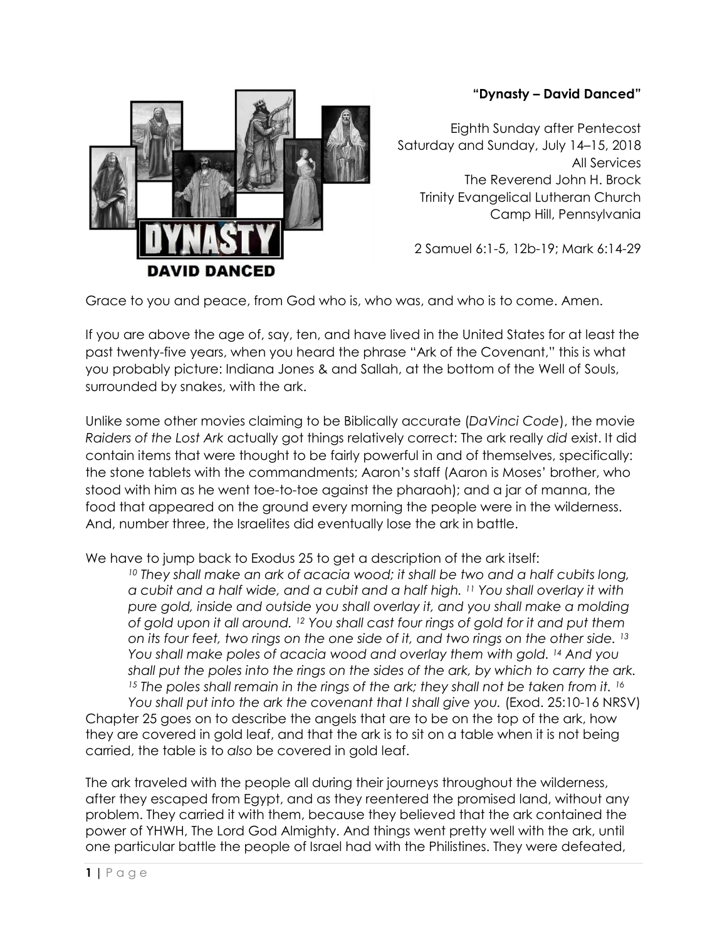## **"Dynasty – David Danced"**



Eighth Sunday after Pentecost Saturday and Sunday, July 14–15, 2018 All Services The Reverend John H. Brock Trinity Evangelical Lutheran Church Camp Hill, Pennsylvania

2 Samuel 6:1-5, 12b-19; Mark 6:14-29

Grace to you and peace, from God who is, who was, and who is to come. Amen.

If you are above the age of, say, ten, and have lived in the United States for at least the past twenty-five years, when you heard the phrase "Ark of the Covenant," this is what you probably picture: Indiana Jones & and Sallah, at the bottom of the Well of Souls, surrounded by snakes, with the ark.

Unlike some other movies claiming to be Biblically accurate (*DaVinci Code*), the movie *Raiders of the Lost Ark* actually got things relatively correct: The ark really *did* exist. It did contain items that were thought to be fairly powerful in and of themselves, specifically: the stone tablets with the commandments; Aaron's staff (Aaron is Moses' brother, who stood with him as he went toe-to-toe against the pharaoh); and a jar of manna, the food that appeared on the ground every morning the people were in the wilderness. And, number three, the Israelites did eventually lose the ark in battle.

We have to jump back to Exodus 25 to get a description of the ark itself:

*<sup>10</sup> They shall make an ark of acacia wood; it shall be two and a half cubits long, a cubit and a half wide, and a cubit and a half high. <sup>11</sup> You shall overlay it with pure gold, inside and outside you shall overlay it, and you shall make a molding of gold upon it all around. <sup>12</sup> You shall cast four rings of gold for it and put them on its four feet, two rings on the one side of it, and two rings on the other side. <sup>13</sup> You shall make poles of acacia wood and overlay them with gold. <sup>14</sup> And you shall put the poles into the rings on the sides of the ark, by which to carry the ark.*  <sup>15</sup> The poles shall remain in the rings of the ark; they shall not be taken from it. <sup>16</sup> *You shall put into the ark the covenant that I shall give you.* (Exod. 25:10-16 NRSV)

Chapter 25 goes on to describe the angels that are to be on the top of the ark, how they are covered in gold leaf, and that the ark is to sit on a table when it is not being carried, the table is to *also* be covered in gold leaf.

The ark traveled with the people all during their journeys throughout the wilderness, after they escaped from Egypt, and as they reentered the promised land, without any problem. They carried it with them, because they believed that the ark contained the power of YHWH, The Lord God Almighty. And things went pretty well with the ark, until one particular battle the people of Israel had with the Philistines. They were defeated,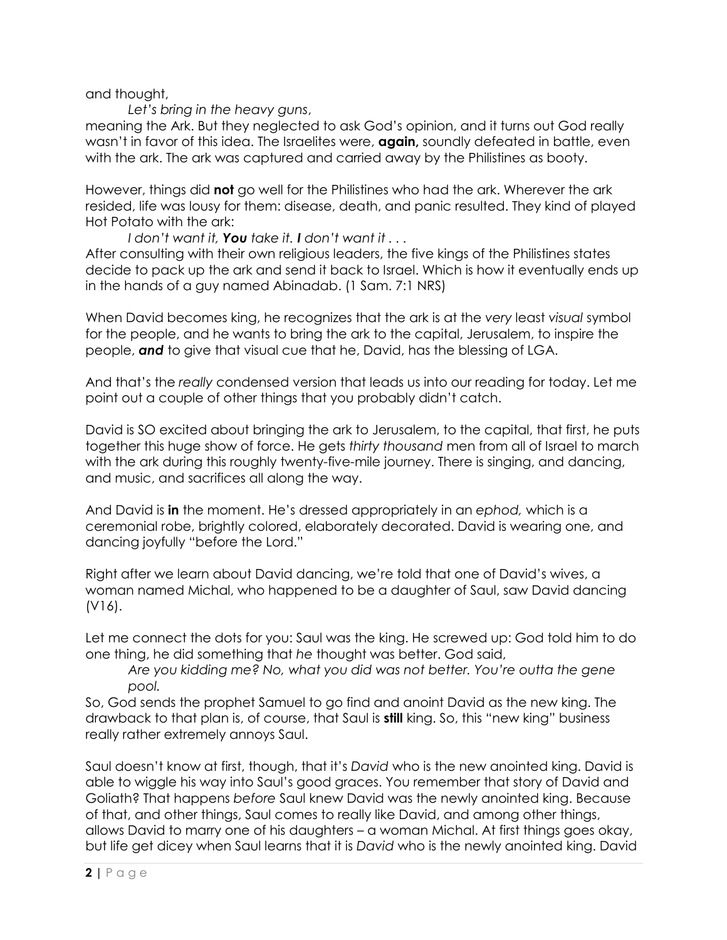and thought,

*Let's bring in the heavy guns*,

meaning the Ark. But they neglected to ask God's opinion, and it turns out God really wasn't in favor of this idea. The Israelites were, **again,** soundly defeated in battle, even with the ark. The ark was captured and carried away by the Philistines as booty.

However, things did **not** go well for the Philistines who had the ark. Wherever the ark resided, life was lousy for them: disease, death, and panic resulted. They kind of played Hot Potato with the ark:

*I don't want it, You take it. I don't want it . . .*

After consulting with their own religious leaders, the five kings of the Philistines states decide to pack up the ark and send it back to Israel. Which is how it eventually ends up in the hands of a guy named Abinadab. (1 Sam. 7:1 NRS)

When David becomes king, he recognizes that the ark is at the *very* least *visual* symbol for the people, and he wants to bring the ark to the capital, Jerusalem, to inspire the people, *and* to give that visual cue that he, David, has the blessing of LGA.

And that's the *really* condensed version that leads us into our reading for today. Let me point out a couple of other things that you probably didn't catch.

David is SO excited about bringing the ark to Jerusalem, to the capital, that first, he puts together this huge show of force. He gets *thirty thousand* men from all of Israel to march with the ark during this roughly twenty-five-mile journey. There is singing, and dancing, and music, and sacrifices all along the way.

And David is **in** the moment. He's dressed appropriately in an *ephod,* which is a ceremonial robe, brightly colored, elaborately decorated. David is wearing one, and dancing joyfully "before the Lord."

Right after we learn about David dancing, we're told that one of David's wives, a woman named Michal, who happened to be a daughter of Saul, saw David dancing (V16).

Let me connect the dots for you: Saul was the king. He screwed up: God told him to do one thing, he did something that *he* thought was better. God said,

*Are you kidding me? No, what you did was not better. You're outta the gene pool.*

So, God sends the prophet Samuel to go find and anoint David as the new king. The drawback to that plan is, of course, that Saul is **still** king. So, this "new king" business really rather extremely annoys Saul.

Saul doesn't know at first, though, that it's *David* who is the new anointed king. David is able to wiggle his way into Saul's good graces. You remember that story of David and Goliath? That happens *before* Saul knew David was the newly anointed king. Because of that, and other things, Saul comes to really like David, and among other things, allows David to marry one of his daughters – a woman Michal. At first things goes okay, but life get dicey when Saul learns that it is *David* who is the newly anointed king. David